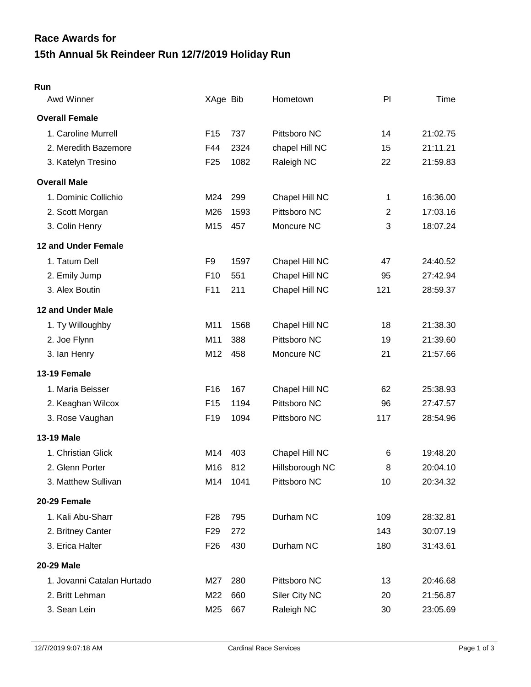## **15th Annual 5k Reindeer Run 12/7/2019 Holiday Run Race Awards for**

## **Run**

| Awd Winner                 | XAge Bib        |      | Hometown        | PI             | Time     |
|----------------------------|-----------------|------|-----------------|----------------|----------|
| <b>Overall Female</b>      |                 |      |                 |                |          |
| 1. Caroline Murrell        | F <sub>15</sub> | 737  | Pittsboro NC    | 14             | 21:02.75 |
| 2. Meredith Bazemore       | F44             | 2324 | chapel Hill NC  | 15             | 21:11.21 |
| 3. Katelyn Tresino         | F <sub>25</sub> | 1082 | Raleigh NC      | 22             | 21:59.83 |
| <b>Overall Male</b>        |                 |      |                 |                |          |
| 1. Dominic Collichio       | M24             | 299  | Chapel Hill NC  | 1              | 16:36.00 |
| 2. Scott Morgan            | M26             | 1593 | Pittsboro NC    | $\overline{2}$ | 17:03.16 |
| 3. Colin Henry             | M15             | 457  | Moncure NC      | 3              | 18:07.24 |
| 12 and Under Female        |                 |      |                 |                |          |
| 1. Tatum Dell              | F <sub>9</sub>  | 1597 | Chapel Hill NC  | 47             | 24:40.52 |
| 2. Emily Jump              | F <sub>10</sub> | 551  | Chapel Hill NC  | 95             | 27:42.94 |
| 3. Alex Boutin             | F11             | 211  | Chapel Hill NC  | 121            | 28:59.37 |
| 12 and Under Male          |                 |      |                 |                |          |
| 1. Ty Willoughby           | M11             | 1568 | Chapel Hill NC  | 18             | 21:38.30 |
| 2. Joe Flynn               | M11             | 388  | Pittsboro NC    | 19             | 21:39.60 |
| 3. Ian Henry               | M12             | 458  | Moncure NC      | 21             | 21:57.66 |
| 13-19 Female               |                 |      |                 |                |          |
| 1. Maria Beisser           | F <sub>16</sub> | 167  | Chapel Hill NC  | 62             | 25:38.93 |
| 2. Keaghan Wilcox          | F <sub>15</sub> | 1194 | Pittsboro NC    | 96             | 27:47.57 |
| 3. Rose Vaughan            | F <sub>19</sub> | 1094 | Pittsboro NC    | 117            | 28:54.96 |
| 13-19 Male                 |                 |      |                 |                |          |
| 1. Christian Glick         | M14             | 403  | Chapel Hill NC  | 6              | 19:48.20 |
| 2. Glenn Porter            | M16             | 812  | Hillsborough NC | 8              | 20:04.10 |
| 3. Matthew Sullivan        | M14             | 1041 | Pittsboro NC    | 10             | 20:34.32 |
| 20-29 Female               |                 |      |                 |                |          |
| 1. Kali Abu-Sharr          | F <sub>28</sub> | 795  | Durham NC       | 109            | 28:32.81 |
| 2. Britney Canter          | F <sub>29</sub> | 272  |                 | 143            | 30:07.19 |
| 3. Erica Halter            | F <sub>26</sub> | 430  | Durham NC       | 180            | 31:43.61 |
| <b>20-29 Male</b>          |                 |      |                 |                |          |
| 1. Jovanni Catalan Hurtado | M27             | 280  | Pittsboro NC    | 13             | 20:46.68 |
| 2. Britt Lehman            | M22             | 660  | Siler City NC   | 20             | 21:56.87 |
| 3. Sean Lein               | M25             | 667  | Raleigh NC      | 30             | 23:05.69 |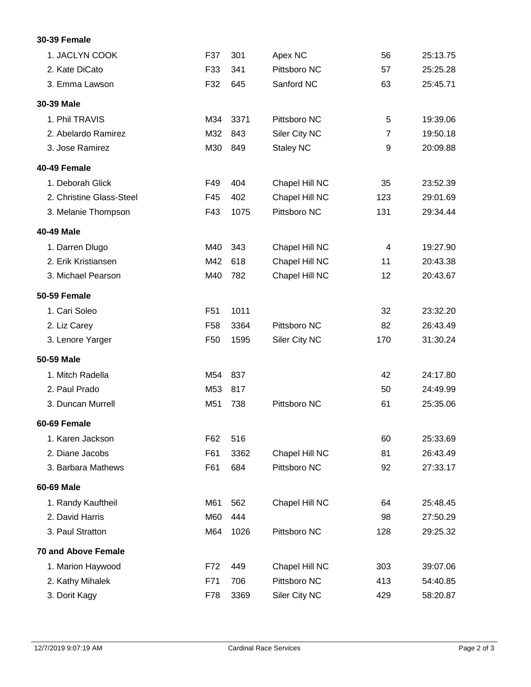## **30-39 Female**

| 1. JACLYN COOK             | F37             | 301  | Apex NC          | 56             | 25:13.75 |
|----------------------------|-----------------|------|------------------|----------------|----------|
| 2. Kate DiCato             | F33             | 341  | Pittsboro NC     | 57             | 25:25.28 |
| 3. Emma Lawson             | F32             | 645  | Sanford NC       | 63             | 25:45.71 |
| 30-39 Male                 |                 |      |                  |                |          |
| 1. Phil TRAVIS             | M34             | 3371 | Pittsboro NC     | 5              | 19:39.06 |
| 2. Abelardo Ramirez        | M32             | 843  | Siler City NC    | $\overline{7}$ | 19:50.18 |
| 3. Jose Ramirez            | M30             | 849  | <b>Staley NC</b> | 9              | 20:09.88 |
| 40-49 Female               |                 |      |                  |                |          |
| 1. Deborah Glick           | F49             | 404  | Chapel Hill NC   | 35             | 23:52.39 |
| 2. Christine Glass-Steel   | F45             | 402  | Chapel Hill NC   | 123            | 29:01.69 |
| 3. Melanie Thompson        | F43             | 1075 | Pittsboro NC     | 131            | 29:34.44 |
| 40-49 Male                 |                 |      |                  |                |          |
| 1. Darren Dlugo            | M40             | 343  | Chapel Hill NC   | 4              | 19:27.90 |
| 2. Erik Kristiansen        | M42             | 618  | Chapel Hill NC   | 11             | 20:43.38 |
| 3. Michael Pearson         | M40             | 782  | Chapel Hill NC   | 12             | 20:43.67 |
| 50-59 Female               |                 |      |                  |                |          |
| 1. Cari Soleo              | F <sub>51</sub> | 1011 |                  | 32             | 23:32.20 |
| 2. Liz Carey               | F <sub>58</sub> | 3364 | Pittsboro NC     | 82             | 26:43.49 |
| 3. Lenore Yarger           | F50             | 1595 | Siler City NC    | 170            | 31:30.24 |
| 50-59 Male                 |                 |      |                  |                |          |
| 1. Mitch Radella           | M54             | 837  |                  | 42             | 24:17.80 |
| 2. Paul Prado              | M53             | 817  |                  | 50             | 24:49.99 |
| 3. Duncan Murrell          | M51             | 738  | Pittsboro NC     | 61             | 25:35.06 |
| 60-69 Female               |                 |      |                  |                |          |
| 1. Karen Jackson           | F62             | 516  |                  | 60             | 25:33.69 |
| 2. Diane Jacobs            | F61             | 3362 | Chapel Hill NC   | 81             | 26:43.49 |
| 3. Barbara Mathews         | F61             | 684  | Pittsboro NC     | 92             | 27:33.17 |
| 60-69 Male                 |                 |      |                  |                |          |
| 1. Randy Kauftheil         | M61             | 562  | Chapel Hill NC   | 64             | 25:48.45 |
| 2. David Harris            | M60             | 444  |                  | 98             | 27:50.29 |
| 3. Paul Stratton           | M64             | 1026 | Pittsboro NC     | 128            | 29:25.32 |
| <b>70 and Above Female</b> |                 |      |                  |                |          |
| 1. Marion Haywood          | F72             | 449  | Chapel Hill NC   | 303            | 39:07.06 |
| 2. Kathy Mihalek           | F71             | 706  | Pittsboro NC     | 413            | 54:40.85 |
| 3. Dorit Kagy              | F78             | 3369 | Siler City NC    | 429            | 58:20.87 |